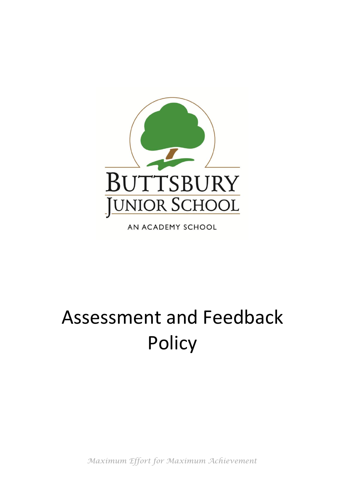

AN ACADEMY SCHOOL

# Assessment and Feedback Policy

*Maximum Effort for Maximum Achievement*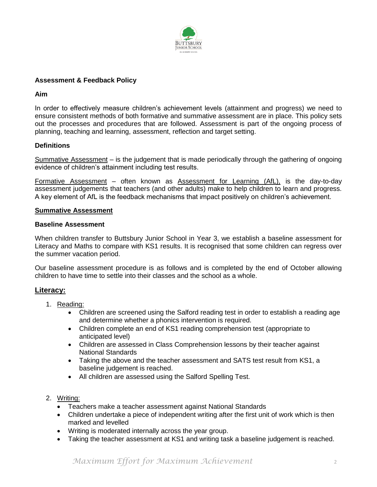

## **Assessment & Feedback Policy**

### **Aim**

In order to effectively measure children's achievement levels (attainment and progress) we need to ensure consistent methods of both formative and summative assessment are in place. This policy sets out the processes and procedures that are followed. Assessment is part of the ongoing process of planning, teaching and learning, assessment, reflection and target setting.

## **Definitions**

Summative Assessment – is the judgement that is made periodically through the gathering of ongoing evidence of children's attainment including test results.

Formative Assessment – often known as Assessment for Learning (AfL), is the day-to-day assessment judgements that teachers (and other adults) make to help children to learn and progress. A key element of AfL is the feedback mechanisms that impact positively on children's achievement.

#### **Summative Assessment**

#### **Baseline Assessment**

When children transfer to Buttsbury Junior School in Year 3, we establish a baseline assessment for Literacy and Maths to compare with KS1 results. It is recognised that some children can regress over the summer vacation period.

Our baseline assessment procedure is as follows and is completed by the end of October allowing children to have time to settle into their classes and the school as a whole.

### **Literacy:**

- 1. Reading:
	- Children are screened using the Salford reading test in order to establish a reading age and determine whether a phonics intervention is required.
	- Children complete an end of KS1 reading comprehension test (appropriate to anticipated level)
	- Children are assessed in Class Comprehension lessons by their teacher against National Standards
	- Taking the above and the teacher assessment and SATS test result from KS1, a baseline judgement is reached.
	- All children are assessed using the Salford Spelling Test.
- 2. Writing:
	- Teachers make a teacher assessment against National Standards
	- Children undertake a piece of independent writing after the first unit of work which is then marked and levelled
	- Writing is moderated internally across the year group.
	- Taking the teacher assessment at KS1 and writing task a baseline judgement is reached.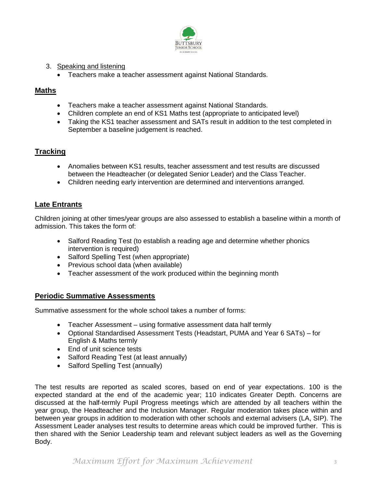

- 3. Speaking and listening
	- Teachers make a teacher assessment against National Standards.

## **Maths**

- Teachers make a teacher assessment against National Standards.
- Children complete an end of KS1 Maths test (appropriate to anticipated level)
- Taking the KS1 teacher assessment and SATs result in addition to the test completed in September a baseline judgement is reached.

# **Tracking**

- Anomalies between KS1 results, teacher assessment and test results are discussed between the Headteacher (or delegated Senior Leader) and the Class Teacher.
- Children needing early intervention are determined and interventions arranged.

## **Late Entrants**

Children joining at other times/year groups are also assessed to establish a baseline within a month of admission. This takes the form of:

- Salford Reading Test (to establish a reading age and determine whether phonics intervention is required)
- Salford Spelling Test (when appropriate)
- Previous school data (when available)
- Teacher assessment of the work produced within the beginning month

## **Periodic Summative Assessments**

Summative assessment for the whole school takes a number of forms:

- Teacher Assessment using formative assessment data half termly
- Optional Standardised Assessment Tests (Headstart, PUMA and Year 6 SATs) for English & Maths termly
- End of unit science tests
- Salford Reading Test (at least annually)
- Salford Spelling Test (annually)

The test results are reported as scaled scores, based on end of year expectations. 100 is the expected standard at the end of the academic year; 110 indicates Greater Depth. Concerns are discussed at the half-termly Pupil Progress meetings which are attended by all teachers within the year group, the Headteacher and the Inclusion Manager. Regular moderation takes place within and between year groups in addition to moderation with other schools and external advisers (LA, SIP). The Assessment Leader analyses test results to determine areas which could be improved further. This is then shared with the Senior Leadership team and relevant subject leaders as well as the Governing Body.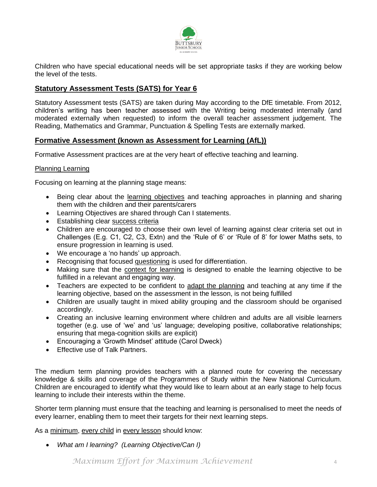

Children who have special educational needs will be set appropriate tasks if they are working below the level of the tests.

# **Statutory Assessment Tests (SATS) for Year 6**

Statutory Assessment tests (SATS) are taken during May according to the DfE timetable. From 2012, children's writing has been teacher assessed with the Writing being moderated internally (and moderated externally when requested) to inform the overall teacher assessment judgement. The Reading, Mathematics and Grammar, Punctuation & Spelling Tests are externally marked.

## **Formative Assessment (known as Assessment for Learning (AfL))**

Formative Assessment practices are at the very heart of effective teaching and learning.

#### Planning Learning

Focusing on learning at the planning stage means:

- Being clear about the learning objectives and teaching approaches in planning and sharing them with the children and their parents/carers
- Learning Objectives are shared through Can I statements.
- Establishing clear success criteria
- Children are encouraged to choose their own level of learning against clear criteria set out in Challenges (E.g. C1, C2, C3, Extn) and the 'Rule of 6' or 'Rule of 8' for lower Maths sets, to ensure progression in learning is used.
- We encourage a 'no hands' up approach.
- Recognising that focused questioning is used for differentiation.
- Making sure that the context for learning is designed to enable the learning objective to be fulfilled in a relevant and engaging way.
- Teachers are expected to be confident to adapt the planning and teaching at any time if the learning objective, based on the assessment in the lesson, is not being fulfilled
- Children are usually taught in mixed ability grouping and the classroom should be organised accordingly.
- Creating an inclusive learning environment where children and adults are all visible learners together (e.g. use of 'we' and 'us' language; developing positive, collaborative relationships; ensuring that mega-cognition skills are explicit)
- Encouraging a 'Growth Mindset' attitude (Carol Dweck)
- Fffective use of Talk Partners.

The medium term planning provides teachers with a planned route for covering the necessary knowledge & skills and coverage of the Programmes of Study within the New National Curriculum. Children are encouraged to identify what they would like to learn about at an early stage to help focus learning to include their interests within the theme.

Shorter term planning must ensure that the teaching and learning is personalised to meet the needs of every learner, enabling them to meet their targets for their next learning steps.

As a minimum, every child in every lesson should know:

*What am I learning? (Learning Objective/Can I)*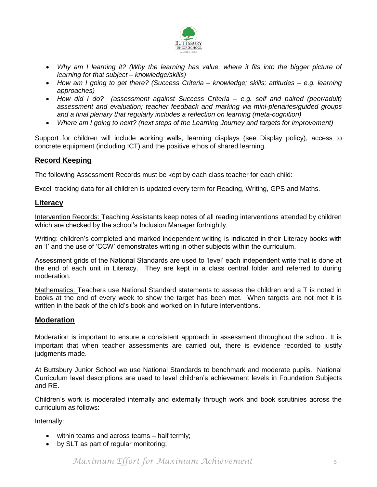

- Why am I learning it? (Why the learning has value, where it fits into the bigger picture of *learning for that subject – knowledge/skills)*
- *How am I going to get there? (Success Criteria – knowledge; skills; attitudes – e.g. learning approaches)*
- *How did I do? (assessment against Success Criteria – e.g. self and paired (peer/adult) assessment and evaluation; teacher feedback and marking via mini-plenaries/guided groups and a final plenary that regularly includes a reflection on learning (meta-cognition)*
- *Where am I going to next? (next steps of the Learning Journey and targets for improvement)*

Support for children will include working walls, learning displays (see Display policy), access to concrete equipment (including ICT) and the positive ethos of shared learning.

## **Record Keeping**

The following Assessment Records must be kept by each class teacher for each child:

Excel tracking data for all children is updated every term for Reading, Writing, GPS and Maths.

### **Literacy**

Intervention Records: Teaching Assistants keep notes of all reading interventions attended by children which are checked by the school's Inclusion Manager fortnightly.

Writing: children's completed and marked independent writing is indicated in their Literacy books with an 'I' and the use of 'CCW' demonstrates writing in other subjects within the curriculum.

Assessment grids of the National Standards are used to 'level' each independent write that is done at the end of each unit in Literacy. They are kept in a class central folder and referred to during moderation.

Mathematics: Teachers use National Standard statements to assess the children and a T is noted in books at the end of every week to show the target has been met. When targets are not met it is written in the back of the child's book and worked on in future interventions.

### **Moderation**

Moderation is important to ensure a consistent approach in assessment throughout the school. It is important that when teacher assessments are carried out, there is evidence recorded to justify judgments made.

At Buttsbury Junior School we use National Standards to benchmark and moderate pupils. National Curriculum level descriptions are used to level children's achievement levels in Foundation Subjects and RE.

Children's work is moderated internally and externally through work and book scrutinies across the curriculum as follows:

Internally:

- within teams and across teams half termly;
- by SLT as part of regular monitoring;